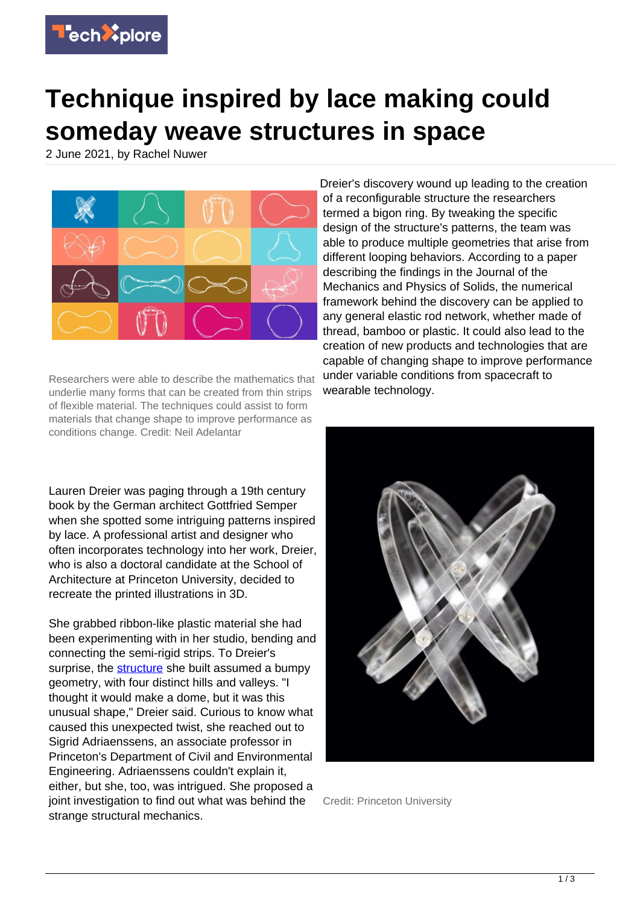

## **Technique inspired by lace making could someday weave structures in space**

2 June 2021, by Rachel Nuwer



Researchers were able to describe the mathematics that underlie many forms that can be created from thin strips of flexible material. The techniques could assist to form materials that change shape to improve performance as conditions change. Credit: Neil Adelantar

Lauren Dreier was paging through a 19th century book by the German architect Gottfried Semper when she spotted some intriguing patterns inspired by lace. A professional artist and designer who often incorporates technology into her work, Dreier, who is also a doctoral candidate at the School of Architecture at Princeton University, decided to recreate the printed illustrations in 3D.

She grabbed ribbon-like plastic material she had been experimenting with in her studio, bending and connecting the semi-rigid strips. To Dreier's surprise, the [structure](https://techxplore.com/tags/structure/) she built assumed a bumpy geometry, with four distinct hills and valleys. "I thought it would make a dome, but it was this unusual shape," Dreier said. Curious to know what caused this unexpected twist, she reached out to Sigrid Adriaenssens, an associate professor in Princeton's Department of Civil and Environmental Engineering. Adriaenssens couldn't explain it, either, but she, too, was intrigued. She proposed a joint investigation to find out what was behind the strange structural mechanics.

Dreier's discovery wound up leading to the creation of a reconfigurable structure the researchers termed a bigon ring. By tweaking the specific design of the structure's patterns, the team was able to produce multiple geometries that arise from different looping behaviors. According to a paper describing the findings in the Journal of the Mechanics and Physics of Solids, the numerical framework behind the discovery can be applied to any general elastic rod network, whether made of thread, bamboo or plastic. It could also lead to the creation of new products and technologies that are capable of changing shape to improve performance under variable conditions from spacecraft to wearable technology.



Credit: Princeton University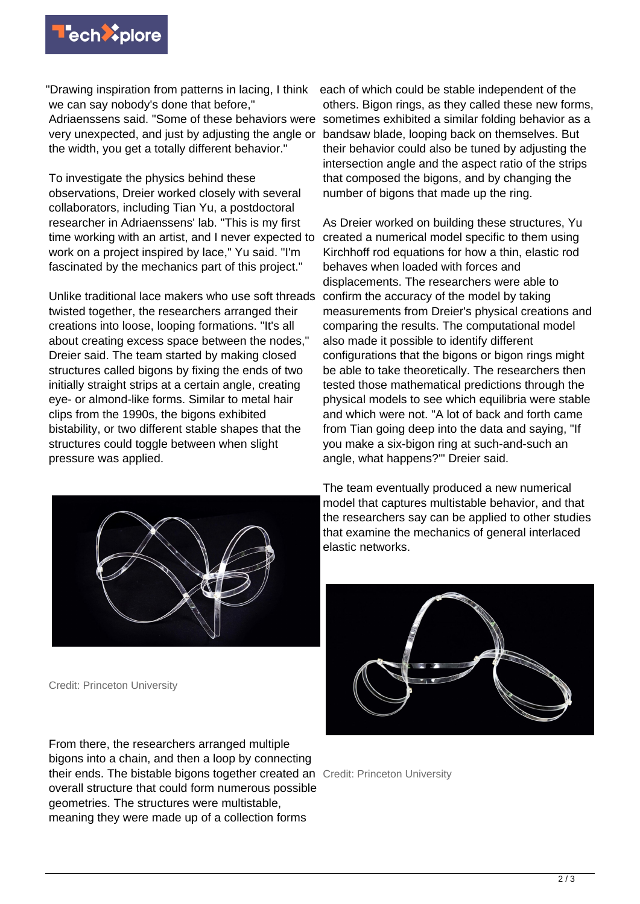

"Drawing inspiration from patterns in lacing, I think each of which could be stable independent of the we can say nobody's done that before," Adriaenssens said. "Some of these behaviors were sometimes exhibited a similar folding behavior as a very unexpected, and just by adjusting the angle or the width, you get a totally different behavior."

To investigate the physics behind these observations, Dreier worked closely with several collaborators, including Tian Yu, a postdoctoral researcher in Adriaenssens' lab. "This is my first time working with an artist, and I never expected to work on a project inspired by lace," Yu said. "I'm fascinated by the mechanics part of this project."

Unlike traditional lace makers who use soft threads twisted together, the researchers arranged their creations into loose, looping formations. "It's all about creating excess space between the nodes," Dreier said. The team started by making closed structures called bigons by fixing the ends of two initially straight strips at a certain angle, creating eye- or almond-like forms. Similar to metal hair clips from the 1990s, the bigons exhibited bistability, or two different stable shapes that the structures could toggle between when slight pressure was applied.



Credit: Princeton University

From there, the researchers arranged multiple bigons into a chain, and then a loop by connecting their ends. The bistable bigons together created an Credit: Princeton University overall structure that could form numerous possible geometries. The structures were multistable, meaning they were made up of a collection forms

others. Bigon rings, as they called these new forms, bandsaw blade, looping back on themselves. But their behavior could also be tuned by adjusting the intersection angle and the aspect ratio of the strips that composed the bigons, and by changing the number of bigons that made up the ring.

As Dreier worked on building these structures, Yu created a numerical model specific to them using Kirchhoff rod equations for how a thin, elastic rod behaves when loaded with forces and displacements. The researchers were able to confirm the accuracy of the model by taking measurements from Dreier's physical creations and comparing the results. The computational model also made it possible to identify different configurations that the bigons or bigon rings might be able to take theoretically. The researchers then tested those mathematical predictions through the physical models to see which equilibria were stable and which were not. "A lot of back and forth came from Tian going deep into the data and saying, "If you make a six-bigon ring at such-and-such an angle, what happens?'" Dreier said.

The team eventually produced a new numerical model that captures multistable behavior, and that the researchers say can be applied to other studies that examine the mechanics of general interlaced elastic networks.